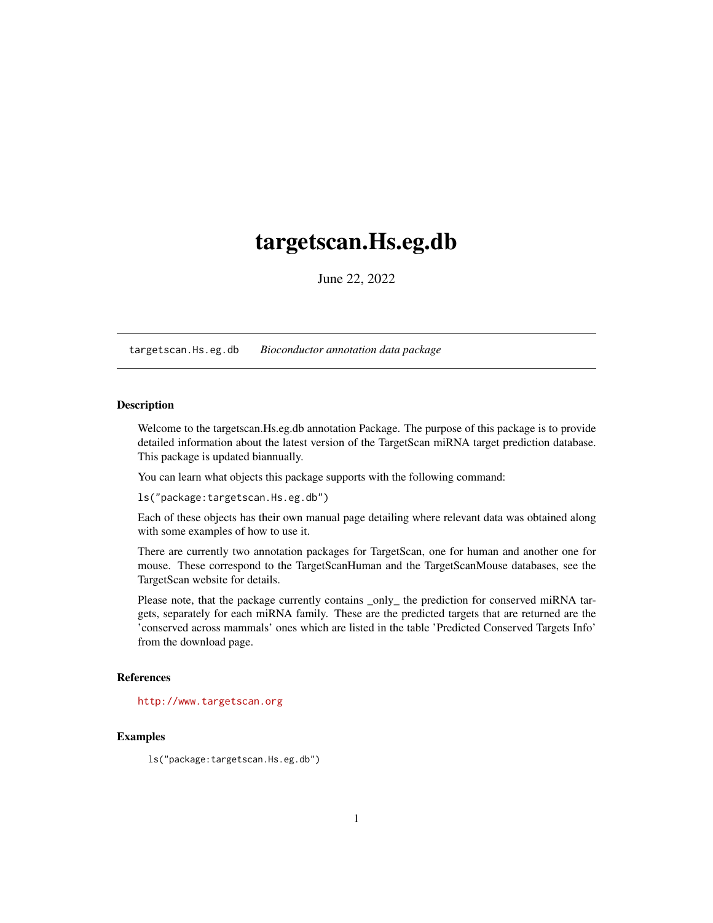## <span id="page-0-1"></span><span id="page-0-0"></span>targetscan.Hs.eg.db

June 22, 2022

targetscan.Hs.eg.db *Bioconductor annotation data package*

## **Description**

Welcome to the targetscan.Hs.eg.db annotation Package. The purpose of this package is to provide detailed information about the latest version of the TargetScan miRNA target prediction database. This package is updated biannually.

You can learn what objects this package supports with the following command:

ls("package:targetscan.Hs.eg.db")

Each of these objects has their own manual page detailing where relevant data was obtained along with some examples of how to use it.

There are currently two annotation packages for TargetScan, one for human and another one for mouse. These correspond to the TargetScanHuman and the TargetScanMouse databases, see the TargetScan website for details.

Please note, that the package currently contains \_only\_ the prediction for conserved miRNA targets, separately for each miRNA family. These are the predicted targets that are returned are the 'conserved across mammals' ones which are listed in the table 'Predicted Conserved Targets Info' from the download page.

#### References

<http://www.targetscan.org>

## Examples

ls("package:targetscan.Hs.eg.db")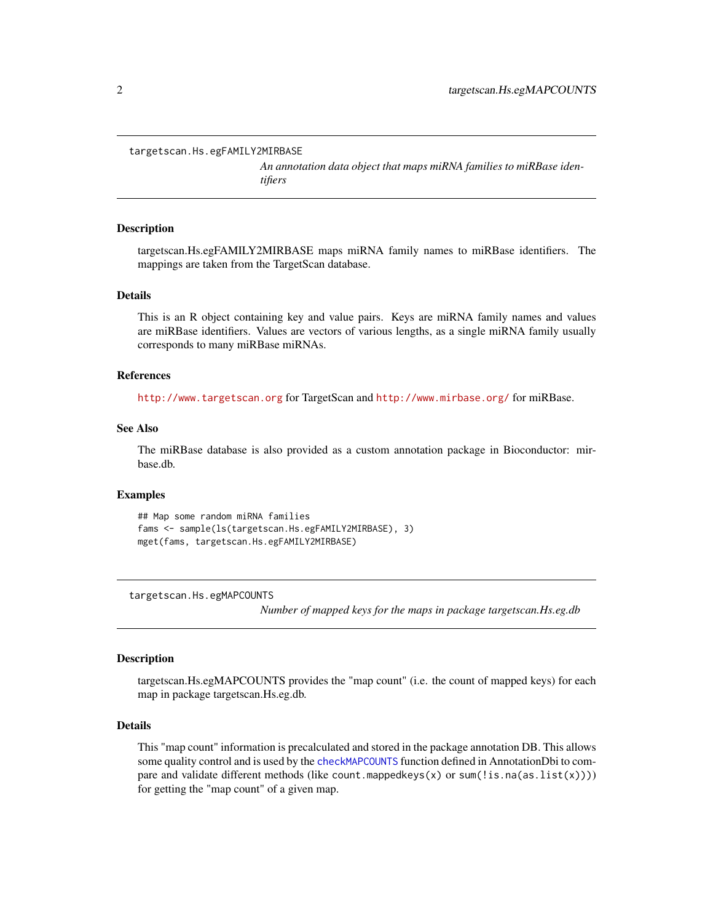<span id="page-1-0"></span>targetscan.Hs.egFAMILY2MIRBASE

*An annotation data object that maps miRNA families to miRBase identifiers*

#### **Description**

targetscan.Hs.egFAMILY2MIRBASE maps miRNA family names to miRBase identifiers. The mappings are taken from the TargetScan database.

#### Details

This is an R object containing key and value pairs. Keys are miRNA family names and values are miRBase identifiers. Values are vectors of various lengths, as a single miRNA family usually corresponds to many miRBase miRNAs.

### References

<http://www.targetscan.org> for TargetScan and <http://www.mirbase.org/> for miRBase.

## See Also

The miRBase database is also provided as a custom annotation package in Bioconductor: mirbase.db.

#### Examples

```
## Map some random miRNA families
fams <- sample(ls(targetscan.Hs.egFAMILY2MIRBASE), 3)
mget(fams, targetscan.Hs.egFAMILY2MIRBASE)
```
targetscan.Hs.egMAPCOUNTS

*Number of mapped keys for the maps in package targetscan.Hs.eg.db*

#### **Description**

targetscan.Hs.egMAPCOUNTS provides the "map count" (i.e. the count of mapped keys) for each map in package targetscan.Hs.eg.db.

#### Details

This "map count" information is precalculated and stored in the package annotation DB. This allows some quality control and is used by the [checkMAPCOUNTS](#page-0-0) function defined in AnnotationDbi to compare and validate different methods (like count.mappedkeys(x) or sum(!is.na(as.list(x)))) for getting the "map count" of a given map.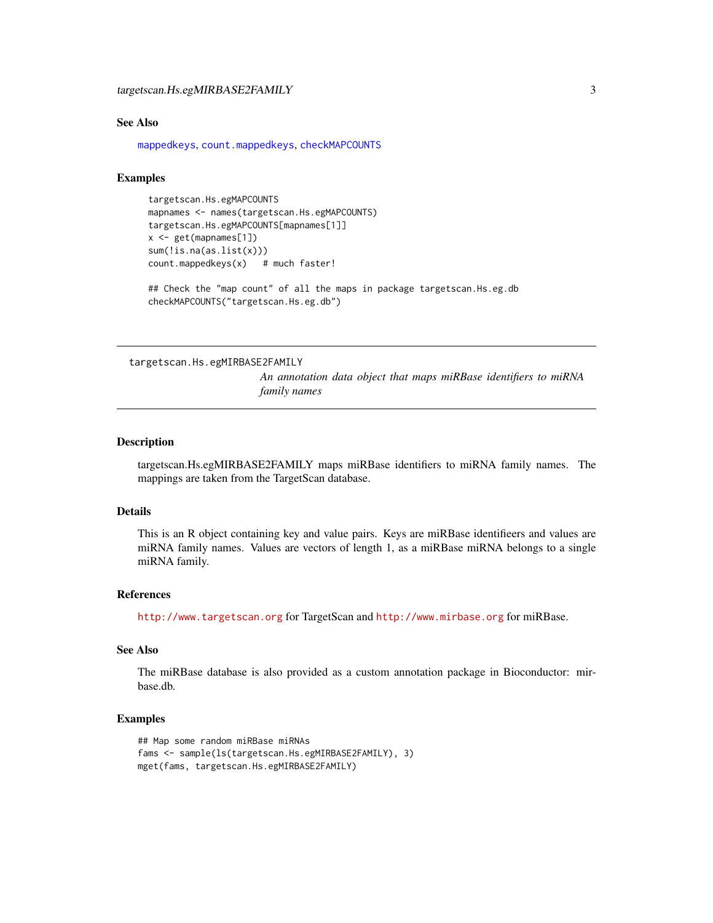#### <span id="page-2-0"></span>See Also

[mappedkeys](#page-0-0), [count.mappedkeys](#page-0-0), [checkMAPCOUNTS](#page-0-0)

## Examples

```
targetscan.Hs.egMAPCOUNTS
mapnames <- names(targetscan.Hs.egMAPCOUNTS)
targetscan.Hs.egMAPCOUNTS[mapnames[1]]
x <- get(mapnames[1])
sum(!is.na(as.list(x)))
count.mappedkeys(x) # much faster!
```
## Check the "map count" of all the maps in package targetscan. Hs.eg.db checkMAPCOUNTS("targetscan.Hs.eg.db")

targetscan.Hs.egMIRBASE2FAMILY

*An annotation data object that maps miRBase identifiers to miRNA family names*

#### Description

targetscan.Hs.egMIRBASE2FAMILY maps miRBase identifiers to miRNA family names. The mappings are taken from the TargetScan database.

#### Details

This is an R object containing key and value pairs. Keys are miRBase identifieers and values are miRNA family names. Values are vectors of length 1, as a miRBase miRNA belongs to a single miRNA family.

## References

<http://www.targetscan.org> for TargetScan and <http://www.mirbase.org> for miRBase.

## See Also

The miRBase database is also provided as a custom annotation package in Bioconductor: mirbase.db.

## Examples

```
## Map some random miRBase miRNAs
fams <- sample(ls(targetscan.Hs.egMIRBASE2FAMILY), 3)
mget(fams, targetscan.Hs.egMIRBASE2FAMILY)
```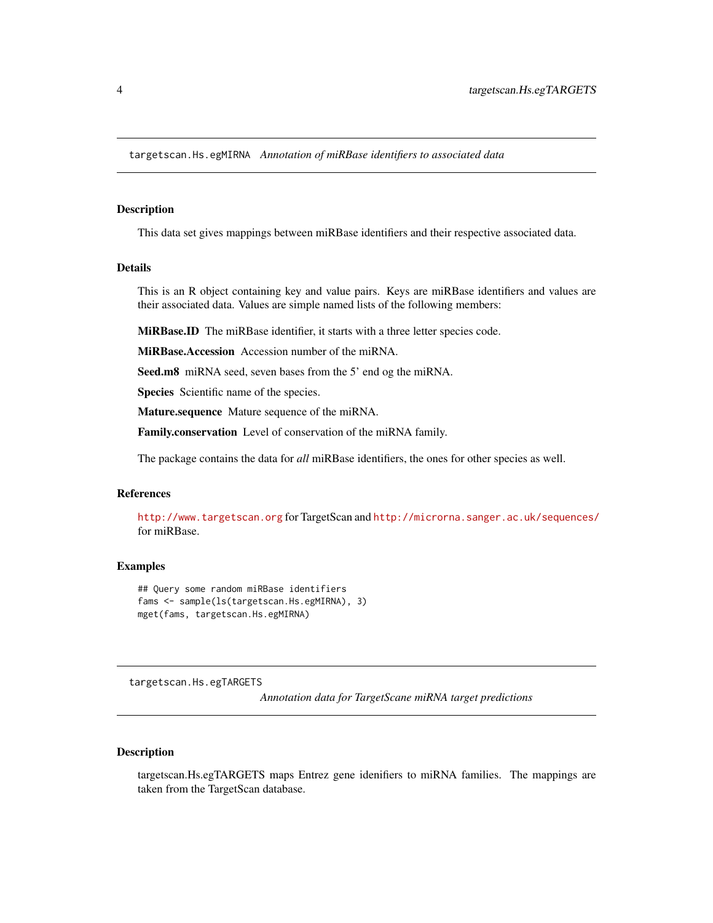<span id="page-3-0"></span>targetscan.Hs.egMIRNA *Annotation of miRBase identifiers to associated data*

#### Description

This data set gives mappings between miRBase identifiers and their respective associated data.

## Details

This is an R object containing key and value pairs. Keys are miRBase identifiers and values are their associated data. Values are simple named lists of the following members:

MiRBase.ID The miRBase identifier, it starts with a three letter species code.

MiRBase.Accession Accession number of the miRNA.

Seed.m8 miRNA seed, seven bases from the 5' end og the miRNA.

Species Scientific name of the species.

Mature.sequence Mature sequence of the miRNA.

Family.conservation Level of conservation of the miRNA family.

The package contains the data for *all* miRBase identifiers, the ones for other species as well.

## References

<http://www.targetscan.org> for TargetScan and <http://microrna.sanger.ac.uk/sequences/> for miRBase.

#### Examples

```
## Query some random miRBase identifiers
fams <- sample(ls(targetscan.Hs.egMIRNA), 3)
mget(fams, targetscan.Hs.egMIRNA)
```
targetscan.Hs.egTARGETS

*Annotation data for TargetScane miRNA target predictions*

#### Description

targetscan.Hs.egTARGETS maps Entrez gene idenifiers to miRNA families. The mappings are taken from the TargetScan database.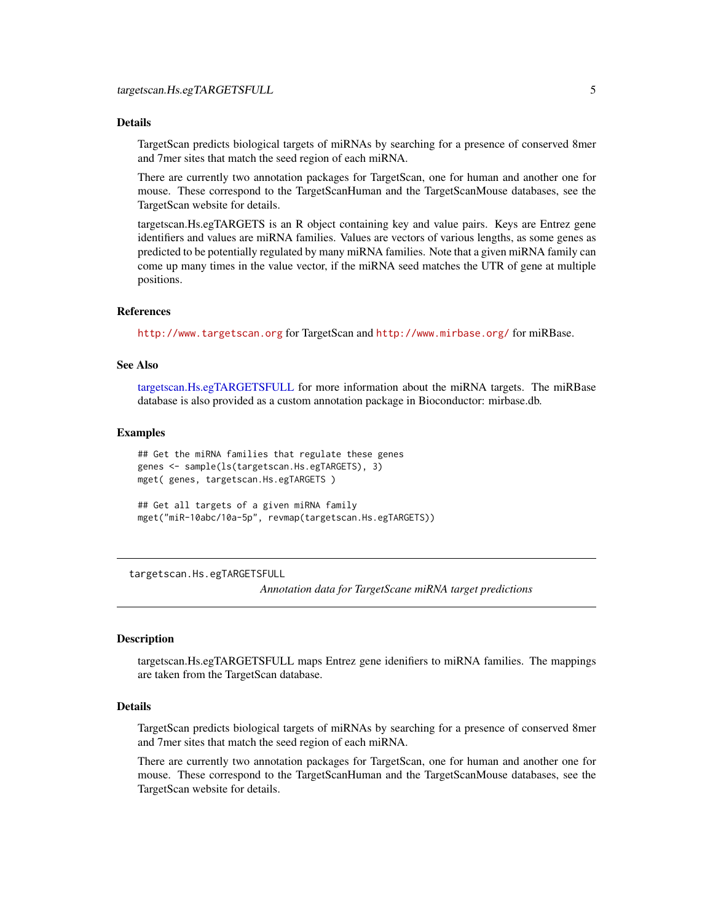## <span id="page-4-1"></span>Details

TargetScan predicts biological targets of miRNAs by searching for a presence of conserved 8mer and 7mer sites that match the seed region of each miRNA.

There are currently two annotation packages for TargetScan, one for human and another one for mouse. These correspond to the TargetScanHuman and the TargetScanMouse databases, see the TargetScan website for details.

targetscan.Hs.egTARGETS is an R object containing key and value pairs. Keys are Entrez gene identifiers and values are miRNA families. Values are vectors of various lengths, as some genes as predicted to be potentially regulated by many miRNA families. Note that a given miRNA family can come up many times in the value vector, if the miRNA seed matches the UTR of gene at multiple positions.

## References

<http://www.targetscan.org> for TargetScan and <http://www.mirbase.org/> for miRBase.

#### See Also

[targetscan.Hs.egTARGETSFULL](#page-4-0) for more information about the miRNA targets. The miRBase database is also provided as a custom annotation package in Bioconductor: mirbase.db.

#### Examples

```
## Get the miRNA families that regulate these genes
genes <- sample(ls(targetscan.Hs.egTARGETS), 3)
mget( genes, targetscan.Hs.egTARGETS )
## Get all targets of a given miRNA family
```
mget("miR-10abc/10a-5p", revmap(targetscan.Hs.egTARGETS))

<span id="page-4-0"></span>targetscan.Hs.egTARGETSFULL

*Annotation data for TargetScane miRNA target predictions*

#### Description

targetscan.Hs.egTARGETSFULL maps Entrez gene idenifiers to miRNA families. The mappings are taken from the TargetScan database.

## Details

TargetScan predicts biological targets of miRNAs by searching for a presence of conserved 8mer and 7mer sites that match the seed region of each miRNA.

There are currently two annotation packages for TargetScan, one for human and another one for mouse. These correspond to the TargetScanHuman and the TargetScanMouse databases, see the TargetScan website for details.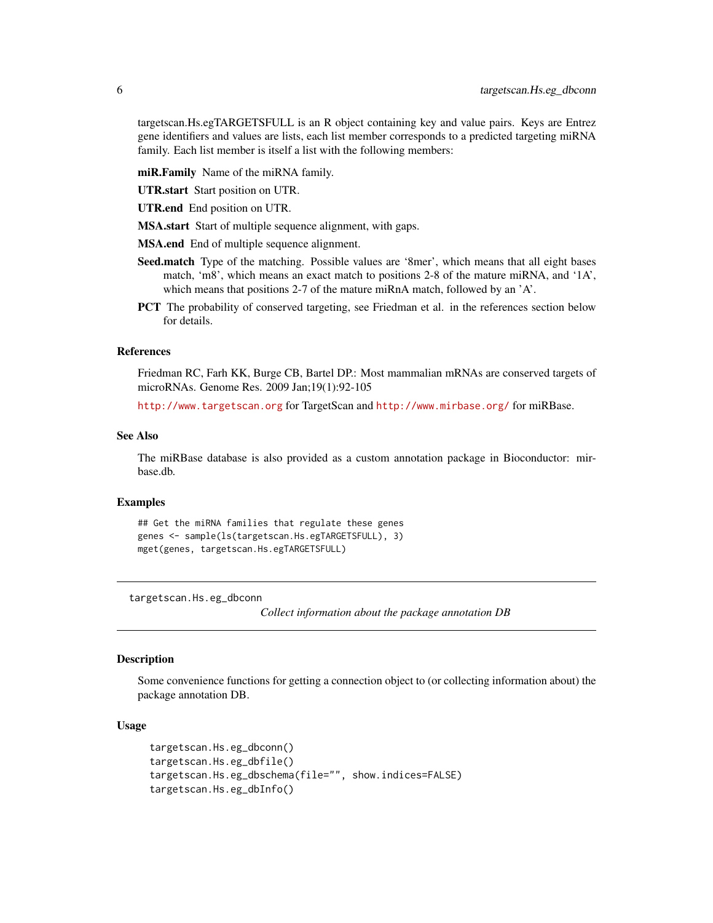<span id="page-5-0"></span>targetscan.Hs.egTARGETSFULL is an R object containing key and value pairs. Keys are Entrez gene identifiers and values are lists, each list member corresponds to a predicted targeting miRNA family. Each list member is itself a list with the following members:

miR.Family Name of the miRNA family.

UTR.start Start position on UTR.

UTR.end End position on UTR.

MSA.start Start of multiple sequence alignment, with gaps.

MSA.end End of multiple sequence alignment.

- Seed.match Type of the matching. Possible values are '8mer', which means that all eight bases match, 'm8', which means an exact match to positions 2-8 of the mature miRNA, and '1A', which means that positions 2-7 of the mature miRnA match, followed by an 'A'.
- PCT The probability of conserved targeting, see Friedman et al. in the references section below for details.

## References

Friedman RC, Farh KK, Burge CB, Bartel DP.: Most mammalian mRNAs are conserved targets of microRNAs. Genome Res. 2009 Jan;19(1):92-105

<http://www.targetscan.org> for TargetScan and <http://www.mirbase.org/> for miRBase.

#### See Also

The miRBase database is also provided as a custom annotation package in Bioconductor: mirbase.db.

## **Examples**

```
## Get the miRNA families that regulate these genes
genes <- sample(ls(targetscan.Hs.egTARGETSFULL), 3)
mget(genes, targetscan.Hs.egTARGETSFULL)
```
targetscan.Hs.eg\_dbconn

*Collect information about the package annotation DB*

## Description

Some convenience functions for getting a connection object to (or collecting information about) the package annotation DB.

#### Usage

```
targetscan.Hs.eg_dbconn()
targetscan.Hs.eg_dbfile()
targetscan.Hs.eg_dbschema(file="", show.indices=FALSE)
targetscan.Hs.eg_dbInfo()
```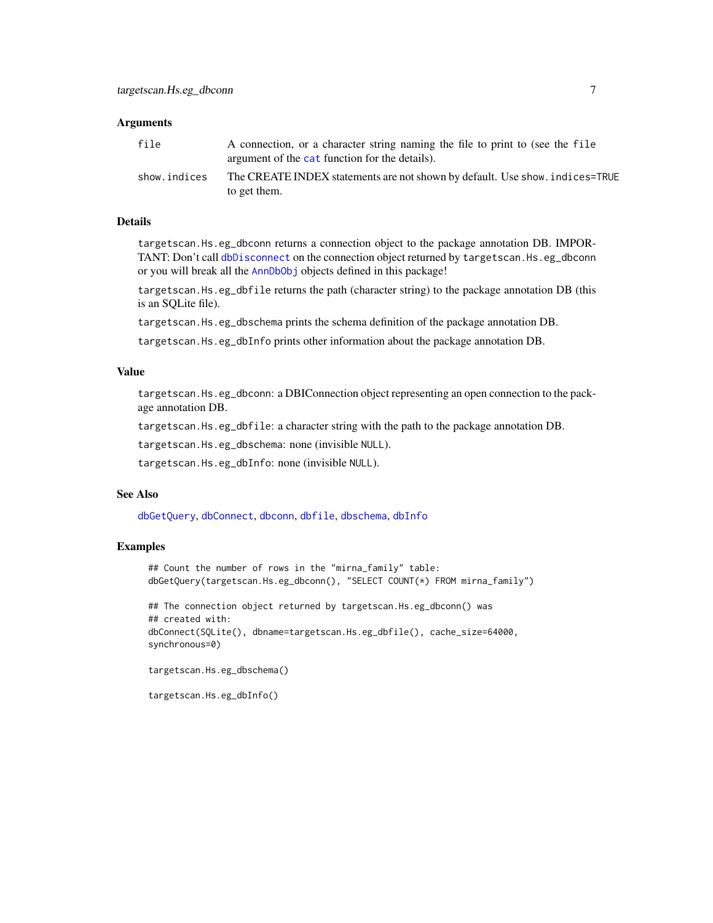#### <span id="page-6-0"></span>**Arguments**

| file         | A connection, or a character string naming the file to print to (see the file<br>argument of the cat function for the details). |
|--------------|---------------------------------------------------------------------------------------------------------------------------------|
| show.indices | The CREATE INDEX statements are not shown by default. Use show, indices=TRUE<br>to get them.                                    |

#### Details

targetscan.Hs.eg\_dbconn returns a connection object to the package annotation DB. IMPORTANT: Don't call [dbDisconnect](#page-0-0) on the connection object returned by targetscan. Hs.eg\_dbconn or you will break all the [AnnDbObj](#page-0-0) objects defined in this package!

targetscan.Hs.eg\_dbfile returns the path (character string) to the package annotation DB (this is an SQLite file).

targetscan.Hs.eg\_dbschema prints the schema definition of the package annotation DB.

targetscan.Hs.eg\_dbInfo prints other information about the package annotation DB.

#### Value

targetscan.Hs.eg\_dbconn: a DBIConnection object representing an open connection to the package annotation DB.

targetscan.Hs.eg\_dbfile: a character string with the path to the package annotation DB.

targetscan.Hs.eg\_dbschema: none (invisible NULL).

targetscan.Hs.eg\_dbInfo: none (invisible NULL).

## See Also

[dbGetQuery](#page-0-0), [dbConnect](#page-0-0), [dbconn](#page-0-0), [dbfile](#page-0-0), [dbschema](#page-0-0), [dbInfo](#page-0-0)

#### Examples

```
## Count the number of rows in the "mirna_family" table:
dbGetQuery(targetscan.Hs.eg_dbconn(), "SELECT COUNT(*) FROM mirna_family")
```
## The connection object returned by targetscan.Hs.eg\_dbconn() was ## created with: dbConnect(SQLite(), dbname=targetscan.Hs.eg\_dbfile(), cache\_size=64000, synchronous=0)

```
targetscan.Hs.eg_dbschema()
```
targetscan.Hs.eg\_dbInfo()